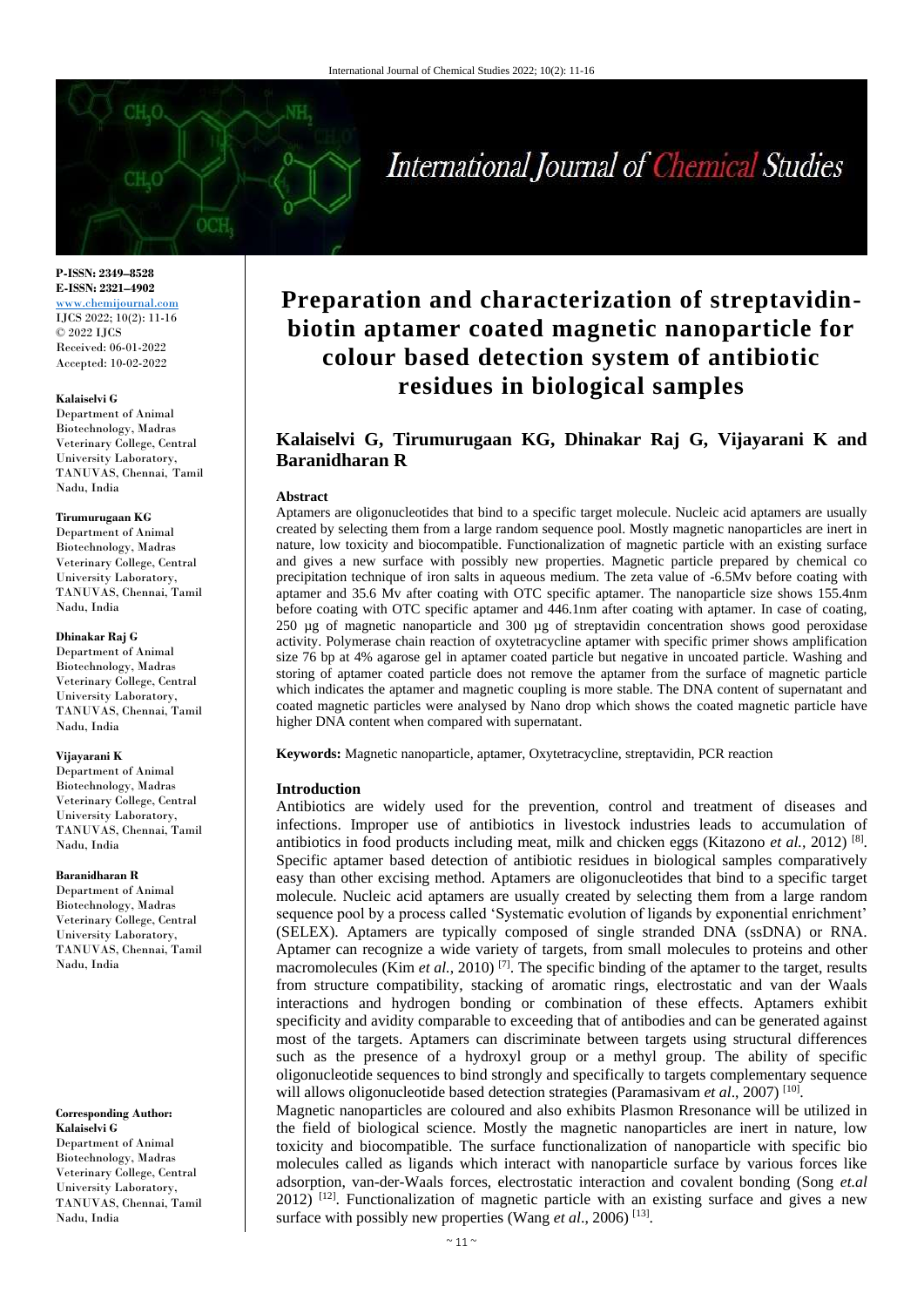# International Journal of Chemical Studies

**P-ISSN: 2349–8528 E-ISSN: 2321–4902** <www.chemijournal.com> IJCS 2022; 10(2): 11-16 © 2022 IJCS Received: 06-01-2022 Accepted: 10-02-2022

#### **Kalaiselvi G**

Department of Animal Biotechnology, Madras Veterinary College, Central University Laboratory, TANUVAS, Chennai, Tamil Nadu, India

#### **Tirumurugaan KG**

Department of Animal Biotechnology, Madras Veterinary College, Central University Laboratory, TANUVAS, Chennai, Tamil Nadu, India

#### **Dhinakar Raj G**

Department of Animal Biotechnology, Madras Veterinary College, Central University Laboratory, TANUVAS, Chennai, Tamil Nadu, India

#### **Vijayarani K**

Department of Animal Biotechnology, Madras Veterinary College, Central University Laboratory, TANUVAS, Chennai, Tamil Nadu, India

#### **Baranidharan R**

Department of Animal Biotechnology, Madras Veterinary College, Central University Laboratory, TANUVAS, Chennai, Tamil Nadu, India

#### **Corresponding Author:**

**Kalaiselvi G**  Department of Animal Biotechnology, Madras Veterinary College, Central University Laboratory, TANUVAS, Chennai, Tamil Nadu, India

## **Preparation and characterization of streptavidinbiotin aptamer coated magnetic nanoparticle for colour based detection system of antibiotic residues in biological samples**

### **Kalaiselvi G, Tirumurugaan KG, Dhinakar Raj G, Vijayarani K and Baranidharan R**

#### **Abstract**

Aptamers are oligonucleotides that bind to a specific target molecule. Nucleic acid aptamers are usually created by selecting them from a large random sequence pool. Mostly magnetic nanoparticles are inert in nature, low toxicity and biocompatible. Functionalization of magnetic particle with an existing surface and gives a new surface with possibly new properties. Magnetic particle prepared by chemical co precipitation technique of iron salts in aqueous medium. The zeta value of -6.5Mv before coating with aptamer and 35.6 Mv after coating with OTC specific aptamer. The nanoparticle size shows 155.4nm before coating with OTC specific aptamer and 446.1nm after coating with aptamer. In case of coating, 250 µg of magnetic nanoparticle and 300 µg of streptavidin concentration shows good peroxidase activity. Polymerase chain reaction of oxytetracycline aptamer with specific primer shows amplification size 76 bp at 4% agarose gel in aptamer coated particle but negative in uncoated particle. Washing and storing of aptamer coated particle does not remove the aptamer from the surface of magnetic particle which indicates the aptamer and magnetic coupling is more stable. The DNA content of supernatant and coated magnetic particles were analysed by Nano drop which shows the coated magnetic particle have higher DNA content when compared with supernatant.

**Keywords:** Magnetic nanoparticle, aptamer, Oxytetracycline, streptavidin, PCR reaction

#### **Introduction**

Antibiotics are widely used for the prevention, control and treatment of diseases and infections. Improper use of antibiotics in livestock industries leads to accumulation of antibiotics in food products including meat, milk and chicken eggs (Kitazono *et al.*, 2012)<sup>[8]</sup>. Specific aptamer based detection of antibiotic residues in biological samples comparatively easy than other excising method. Aptamers are oligonucleotides that bind to a specific target molecule. Nucleic acid aptamers are usually created by selecting them from a large random sequence pool by a process called 'Systematic evolution of ligands by exponential enrichment' (SELEX). Aptamers are typically composed of single stranded DNA (ssDNA) or RNA. Aptamer can recognize a wide variety of targets, from small molecules to proteins and other macromolecules (Kim *et al.*, 2010)<sup>[7]</sup>. The specific binding of the aptamer to the target, results from structure compatibility, stacking of aromatic rings, electrostatic and van der Waals interactions and hydrogen bonding or combination of these effects. Aptamers exhibit specificity and avidity comparable to exceeding that of antibodies and can be generated against most of the targets. Aptamers can discriminate between targets using structural differences such as the presence of a hydroxyl group or a methyl group. The ability of specific oligonucleotide sequences to bind strongly and specifically to targets complementary sequence will allows oligonucleotide based detection strategies (Paramasivam et al., 2007)<sup>[10]</sup>.

Magnetic nanoparticles are coloured and also exhibits Plasmon Rresonance will be utilized in the field of biological science. Mostly the magnetic nanoparticles are inert in nature, low toxicity and biocompatible. The surface functionalization of nanoparticle with specific bio molecules called as ligands which interact with nanoparticle surface by various forces like adsorption, van-der-Waals forces, electrostatic interaction and covalent bonding (Song *et.al* 2012)<sup>[12]</sup>. Functionalization of magnetic particle with an existing surface and gives a new surface with possibly new properties (Wang *et al.*, 2006)<sup>[13]</sup>.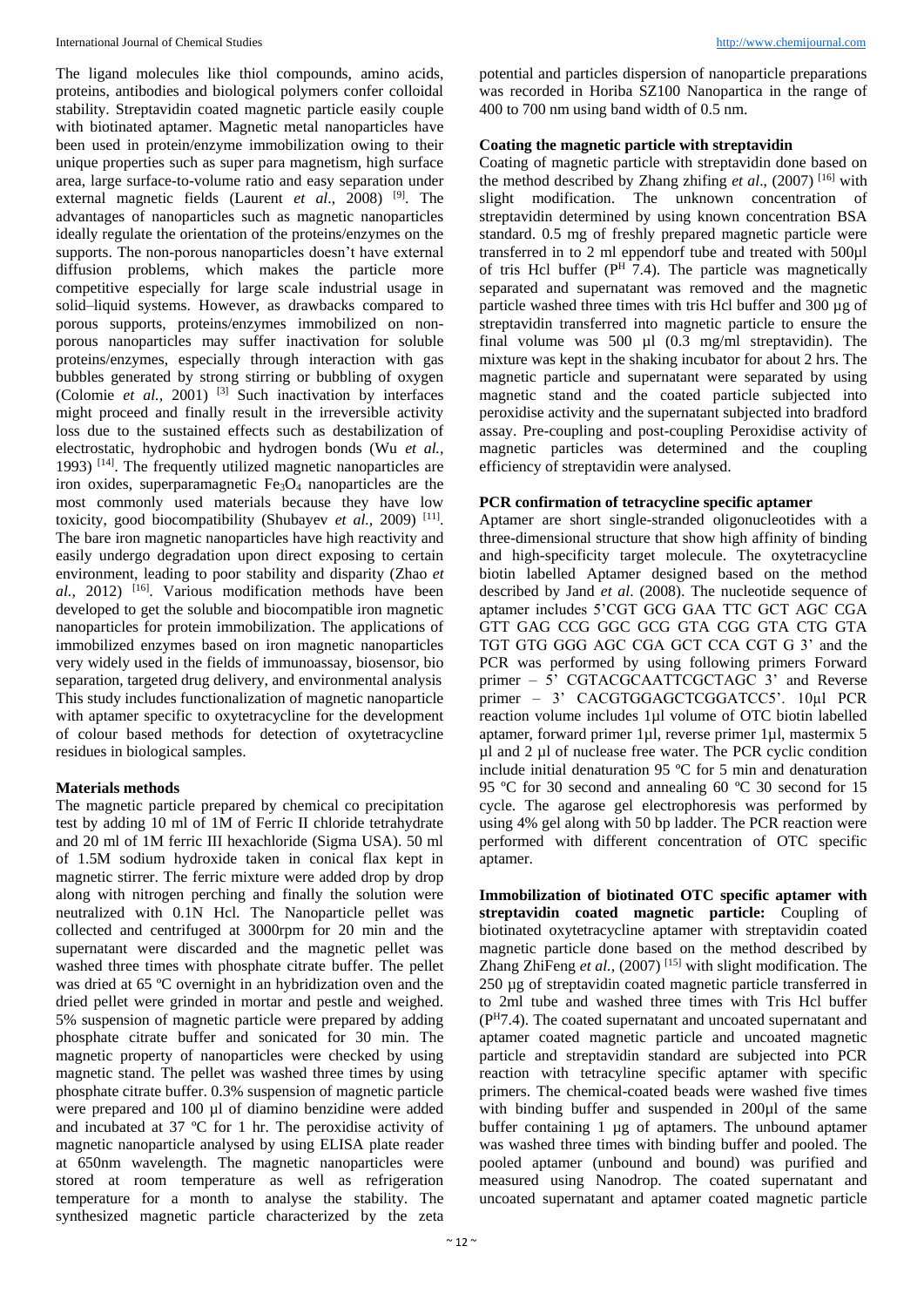The ligand molecules like thiol compounds, amino acids, proteins, antibodies and biological polymers confer colloidal stability. Streptavidin coated magnetic particle easily couple with biotinated aptamer. Magnetic metal nanoparticles have been used in protein/enzyme immobilization owing to their unique properties such as super para magnetism, high surface area, large surface-to-volume ratio and easy separation under external magnetic fields (Laurent *et al*., 2008) [9]. The advantages of nanoparticles such as magnetic nanoparticles ideally regulate the orientation of the proteins/enzymes on the supports. The non-porous nanoparticles doesn't have external diffusion problems, which makes the particle more competitive especially for large scale industrial usage in solid–liquid systems. However, as drawbacks compared to porous supports, proteins/enzymes immobilized on nonporous nanoparticles may suffer inactivation for soluble proteins/enzymes, especially through interaction with gas bubbles generated by strong stirring or bubbling of oxygen (Colomie *et al.,* 2001) [3] Such inactivation by interfaces might proceed and finally result in the irreversible activity loss due to the sustained effects such as destabilization of electrostatic, hydrophobic and hydrogen bonds (Wu *et al.,* 1993) [14]. The frequently utilized magnetic nanoparticles are iron oxides, superparamagnetic  $Fe<sub>3</sub>O<sub>4</sub>$  nanoparticles are the most commonly used materials because they have low toxicity, good biocompatibility (Shubayev et al., 2009)<sup>[11]</sup>. The bare iron magnetic nanoparticles have high reactivity and easily undergo degradation upon direct exposing to certain environment, leading to poor stability and disparity (Zhao *et al.,* 2012) [16]. Various modification methods have been developed to get the soluble and biocompatible iron magnetic nanoparticles for protein immobilization. The applications of immobilized enzymes based on iron magnetic nanoparticles very widely used in the fields of immunoassay, biosensor, bio separation, targeted drug delivery, and environmental analysis This study includes functionalization of magnetic nanoparticle with aptamer specific to oxytetracycline for the development of colour based methods for detection of oxytetracycline residues in biological samples.

#### **Materials methods**

The magnetic particle prepared by chemical co precipitation test by adding 10 ml of 1M of Ferric II chloride tetrahydrate and 20 ml of 1M ferric III hexachloride (Sigma USA). 50 ml of 1.5M sodium hydroxide taken in conical flax kept in magnetic stirrer. The ferric mixture were added drop by drop along with nitrogen perching and finally the solution were neutralized with 0.1N Hcl. The Nanoparticle pellet was collected and centrifuged at 3000rpm for 20 min and the supernatant were discarded and the magnetic pellet was washed three times with phosphate citrate buffer. The pellet was dried at 65 ºC overnight in an hybridization oven and the dried pellet were grinded in mortar and pestle and weighed. 5% suspension of magnetic particle were prepared by adding phosphate citrate buffer and sonicated for 30 min. The magnetic property of nanoparticles were checked by using magnetic stand. The pellet was washed three times by using phosphate citrate buffer. 0.3% suspension of magnetic particle were prepared and 100 µl of diamino benzidine were added and incubated at 37 ºC for 1 hr. The peroxidise activity of magnetic nanoparticle analysed by using ELISA plate reader at 650nm wavelength. The magnetic nanoparticles were stored at room temperature as well as refrigeration temperature for a month to analyse the stability. The synthesized magnetic particle characterized by the zeta

potential and particles dispersion of nanoparticle preparations was recorded in Horiba SZ100 Nanopartica in the range of 400 to 700 nm using band width of 0.5 nm.

#### **Coating the magnetic particle with streptavidin**

Coating of magnetic particle with streptavidin done based on the method described by Zhang zhifing *et al*., (2007) [16] with slight modification. The unknown concentration of streptavidin determined by using known concentration BSA standard. 0.5 mg of freshly prepared magnetic particle were transferred in to 2 ml eppendorf tube and treated with 500µl of tris Hcl buffer  $(P^H \tilde{7}, 4)$ . The particle was magnetically separated and supernatant was removed and the magnetic particle washed three times with tris Hcl buffer and 300 µg of streptavidin transferred into magnetic particle to ensure the final volume was 500  $\mu$ l (0.3 mg/ml streptavidin). The mixture was kept in the shaking incubator for about 2 hrs. The magnetic particle and supernatant were separated by using magnetic stand and the coated particle subjected into peroxidise activity and the supernatant subjected into bradford assay. Pre-coupling and post-coupling Peroxidise activity of magnetic particles was determined and the coupling efficiency of streptavidin were analysed.

#### **PCR confirmation of tetracycline specific aptamer**

Aptamer are short single-stranded oligonucleotides with a three-dimensional structure that show high affinity of binding and high-specificity target molecule. The oxytetracycline biotin labelled Aptamer designed based on the method described by Jand *et al*. (2008). The nucleotide sequence of aptamer includes 5'CGT GCG GAA TTC GCT AGC CGA GTT GAG CCG GGC GCG GTA CGG GTA CTG GTA TGT GTG GGG AGC CGA GCT CCA CGT G 3' and the PCR was performed by using following primers Forward primer – 5' CGTACGCAATTCGCTAGC 3' and Reverse primer – 3' CACGTGGAGCTCGGATCC5'. 10µl PCR reaction volume includes 1µl volume of OTC biotin labelled aptamer, forward primer 1µl, reverse primer 1µl, mastermix 5 µl and 2 µl of nuclease free water. The PCR cyclic condition include initial denaturation 95 ºC for 5 min and denaturation 95 ºC for 30 second and annealing 60 ºC 30 second for 15 cycle. The agarose gel electrophoresis was performed by using 4% gel along with 50 bp ladder. The PCR reaction were performed with different concentration of OTC specific aptamer.

**Immobilization of biotinated OTC specific aptamer with streptavidin coated magnetic particle:** Coupling of biotinated oxytetracycline aptamer with streptavidin coated magnetic particle done based on the method described by Zhang ZhiFeng *et al.,* (2007) [15] with slight modification. The 250 µg of streptavidin coated magnetic particle transferred in to 2ml tube and washed three times with Tris Hcl buffer (P<sup>H</sup>7.4). The coated supernatant and uncoated supernatant and aptamer coated magnetic particle and uncoated magnetic particle and streptavidin standard are subjected into PCR reaction with tetracyline specific aptamer with specific primers. The chemical-coated beads were washed five times with binding buffer and suspended in 200µl of the same buffer containing 1 µg of aptamers. The unbound aptamer was washed three times with binding buffer and pooled. The pooled aptamer (unbound and bound) was purified and measured using Nanodrop. The coated supernatant and uncoated supernatant and aptamer coated magnetic particle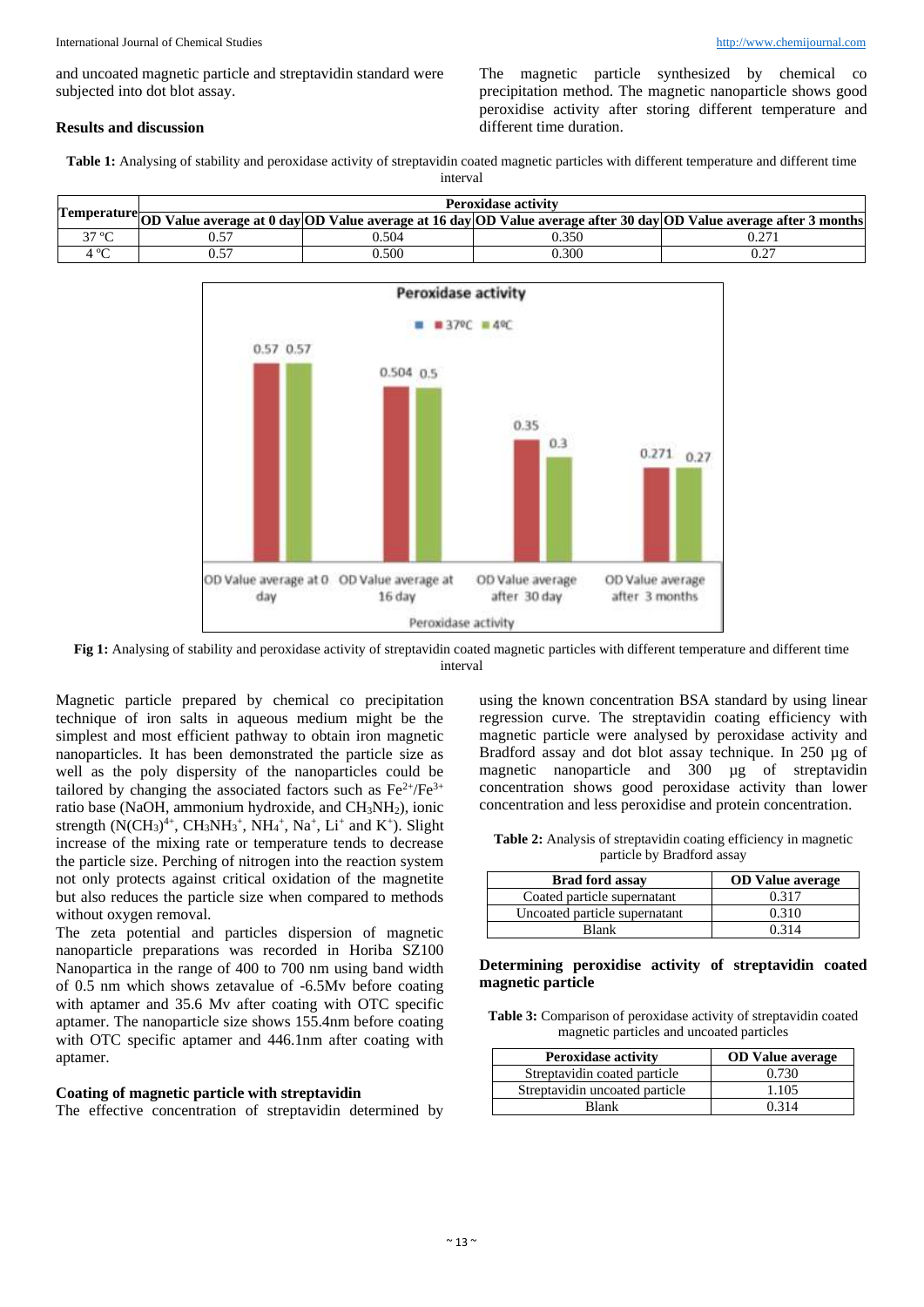and uncoated magnetic particle and streptavidin standard were subjected into dot blot assay.

#### **Results and discussion**

The magnetic particle synthesized by chemical co precipitation method. The magnetic nanoparticle shows good peroxidise activity after storing different temperature and different time duration.

Table 1: Analysing of stability and peroxidase activity of streptavidin coated magnetic particles with different temperature and different time interval

|                   | Peroxidase activity<br>Temperature OD Value average at 0 day OD Value average at 16 day OD Value average after 30 day OD Value average after 3 months |       |       |     |  |  |  |
|-------------------|-------------------------------------------------------------------------------------------------------------------------------------------------------|-------|-------|-----|--|--|--|
|                   |                                                                                                                                                       |       |       |     |  |  |  |
| 27.0 <sub>C</sub> |                                                                                                                                                       | ).504 | J.350 |     |  |  |  |
|                   |                                                                                                                                                       | 0.500 | J.300 | ◡.∠ |  |  |  |



**Fig 1:** Analysing of stability and peroxidase activity of streptavidin coated magnetic particles with different temperature and different time interval

Magnetic particle prepared by chemical co precipitation technique of iron salts in aqueous medium might be the simplest and most efficient pathway to obtain iron magnetic nanoparticles. It has been demonstrated the particle size as well as the poly dispersity of the nanoparticles could be tailored by changing the associated factors such as  $Fe^{2+}/Fe^{3+}$ ratio base (NaOH, ammonium hydroxide, and CH3NH2), ionic strength  $(N(CH_3)^{4+}$ , CH<sub>3</sub>NH<sub>3</sub><sup>+</sup>, NH<sub>4</sub><sup>+</sup>, Na<sup>+</sup>, L<sub>i</sub><sup>+</sup> and K<sup>+</sup>). Slight increase of the mixing rate or temperature tends to decrease the particle size. Perching of nitrogen into the reaction system not only protects against critical oxidation of the magnetite but also reduces the particle size when compared to methods without oxygen removal.

The zeta potential and particles dispersion of magnetic nanoparticle preparations was recorded in Horiba SZ100 Nanopartica in the range of 400 to 700 nm using band width of 0.5 nm which shows zetavalue of -6.5Mv before coating with aptamer and 35.6 Mv after coating with OTC specific aptamer. The nanoparticle size shows 155.4nm before coating with OTC specific aptamer and 446.1nm after coating with aptamer.

#### **Coating of magnetic particle with streptavidin**

The effective concentration of streptavidin determined by

using the known concentration BSA standard by using linear regression curve. The streptavidin coating efficiency with magnetic particle were analysed by peroxidase activity and Bradford assay and dot blot assay technique. In 250 µg of magnetic nanoparticle and 300 µg of streptavidin concentration shows good peroxidase activity than lower concentration and less peroxidise and protein concentration.

**Table 2:** Analysis of streptavidin coating efficiency in magnetic particle by Bradford assay

| <b>Brad ford assav</b>        | <b>OD</b> Value average |
|-------------------------------|-------------------------|
| Coated particle supernatant   | 0.317                   |
| Uncoated particle supernatant | 0.310                   |
| <b>Blank</b>                  | 0.314                   |

#### **Determining peroxidise activity of streptavidin coated magnetic particle**

| <b>Table 3:</b> Comparison of peroxidase activity of streptavidin coated |
|--------------------------------------------------------------------------|
| magnetic particles and uncoated particles                                |

| <b>Peroxidase activity</b>     | <b>OD</b> Value average |
|--------------------------------|-------------------------|
| Streptavidin coated particle   | 0.730                   |
| Streptavidin uncoated particle | 1.105                   |
| <b>Blank</b>                   | 0.314                   |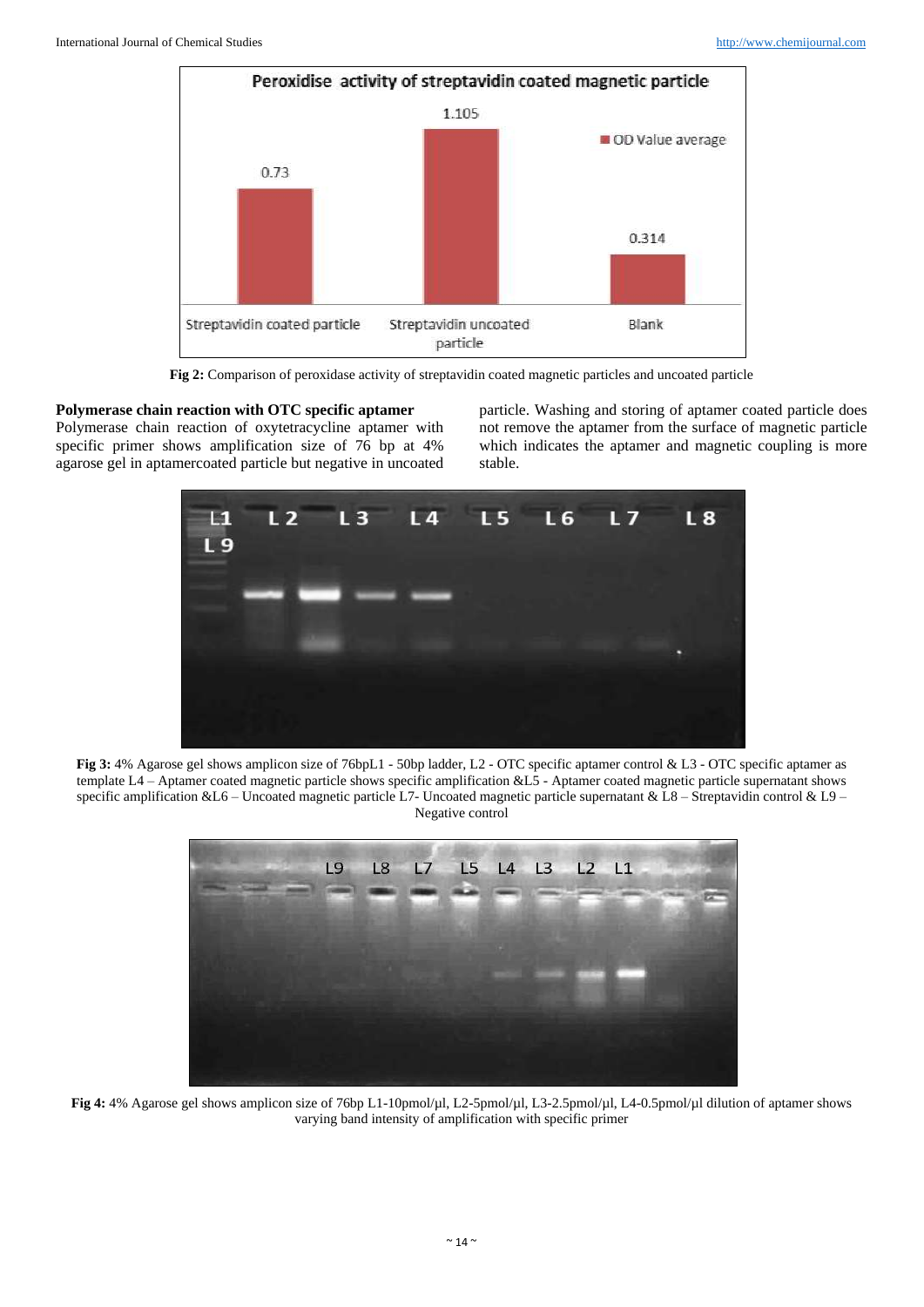

**Fig 2:** Comparison of peroxidase activity of streptavidin coated magnetic particles and uncoated particle

#### **Polymerase chain reaction with OTC specific aptamer**

Polymerase chain reaction of oxytetracycline aptamer with specific primer shows amplification size of 76 bp at 4% agarose gel in aptamercoated particle but negative in uncoated

particle. Washing and storing of aptamer coated particle does not remove the aptamer from the surface of magnetic particle which indicates the aptamer and magnetic coupling is more stable.



**Fig 3:** 4% Agarose gel shows amplicon size of 76bpL1 - 50bp ladder, L2 - OTC specific aptamer control & L3 - OTC specific aptamer as template L4 – Aptamer coated magnetic particle shows specific amplification &L5 - Aptamer coated magnetic particle supernatant shows specific amplification &L6 – Uncoated magnetic particle L7- Uncoated magnetic particle supernatant & L8 – Streptavidin control & L9 – Negative control



**Fig 4:** 4% Agarose gel shows amplicon size of 76bp L1-10pmol/µl, L2-5pmol/µl, L3-2.5pmol/µl, L4-0.5pmol/µl dilution of aptamer shows varying band intensity of amplification with specific primer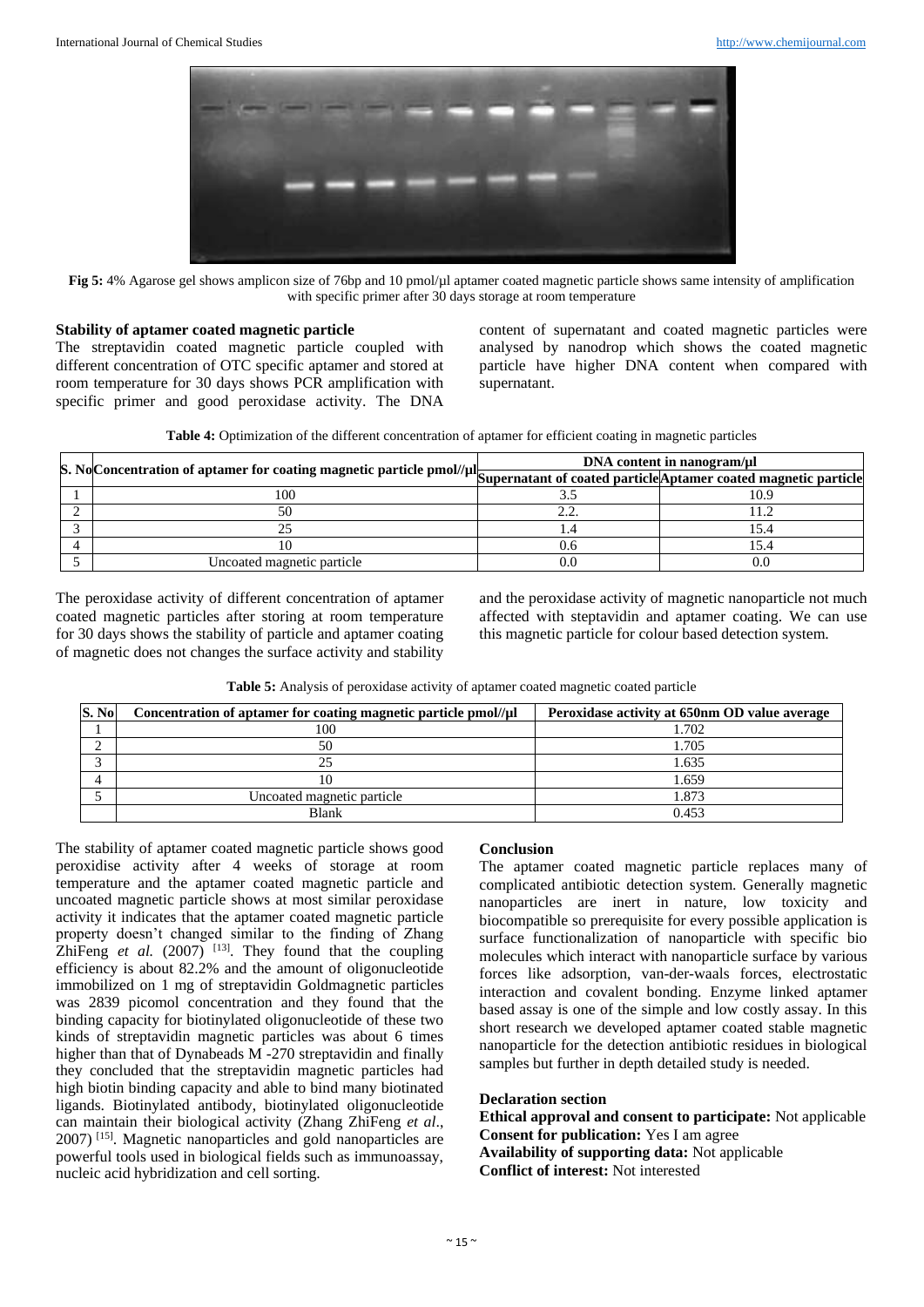

**Fig 5:** 4% Agarose gel shows amplicon size of 76bp and 10 pmol/µl aptamer coated magnetic particle shows same intensity of amplification with specific primer after 30 days storage at room temperature

#### **Stability of aptamer coated magnetic particle**

The streptavidin coated magnetic particle coupled with different concentration of OTC specific aptamer and stored at room temperature for 30 days shows PCR amplification with specific primer and good peroxidase activity. The DNA

content of supernatant and coated magnetic particles were analysed by nanodrop which shows the coated magnetic particle have higher DNA content when compared with supernatant.

|  |  | Table 4: Optimization of the different concentration of aptamer for efficient coating in magnetic particles |  |  |  |
|--|--|-------------------------------------------------------------------------------------------------------------|--|--|--|

|                                                                                                                                       | DNA content in nanogram/µl |      |  |
|---------------------------------------------------------------------------------------------------------------------------------------|----------------------------|------|--|
| S. No Concentration of aptamer for coating magnetic particle pmol//µl Supernatant of coated particle Aptamer coated magnetic particle |                            |      |  |
| 100                                                                                                                                   |                            | 10.9 |  |
|                                                                                                                                       |                            |      |  |
|                                                                                                                                       |                            |      |  |
|                                                                                                                                       | 0.6                        |      |  |
| Uncoated magnetic particle                                                                                                            |                            |      |  |

The peroxidase activity of different concentration of aptamer coated magnetic particles after storing at room temperature for 30 days shows the stability of particle and aptamer coating of magnetic does not changes the surface activity and stability

and the peroxidase activity of magnetic nanoparticle not much affected with steptavidin and aptamer coating. We can use this magnetic particle for colour based detection system.

**Table 5:** Analysis of peroxidase activity of aptamer coated magnetic coated particle

| S. No | Concentration of aptamer for coating magnetic particle pmol//µl | Peroxidase activity at 650nm OD value average |
|-------|-----------------------------------------------------------------|-----------------------------------------------|
|       | 100                                                             | 1.702                                         |
|       | 50                                                              | 1.705                                         |
|       | 25                                                              | 1.635                                         |
|       |                                                                 | 1.659                                         |
|       | Uncoated magnetic particle                                      | 1.873                                         |
|       | Blank                                                           | 0.453                                         |

The stability of aptamer coated magnetic particle shows good peroxidise activity after 4 weeks of storage at room temperature and the aptamer coated magnetic particle and uncoated magnetic particle shows at most similar peroxidase activity it indicates that the aptamer coated magnetic particle property doesn't changed similar to the finding of Zhang ZhiFeng  $et$  al. (2007)  $[13]$ . They found that the coupling efficiency is about 82.2% and the amount of oligonucleotide immobilized on 1 mg of streptavidin Goldmagnetic particles was 2839 picomol concentration and they found that the binding capacity for biotinylated oligonucleotide of these two kinds of streptavidin magnetic particles was about 6 times higher than that of Dynabeads M -270 streptavidin and finally they concluded that the streptavidin magnetic particles had high biotin binding capacity and able to bind many biotinated ligands. Biotinylated antibody, biotinylated oligonucleotide can maintain their biological activity (Zhang ZhiFeng *et al*., 2007) [15]. Magnetic nanoparticles and gold nanoparticles are powerful tools used in biological fields such as immunoassay, nucleic acid hybridization and cell sorting.

#### **Conclusion**

The aptamer coated magnetic particle replaces many of complicated antibiotic detection system. Generally magnetic nanoparticles are inert in nature, low toxicity and biocompatible so prerequisite for every possible application is surface functionalization of nanoparticle with specific bio molecules which interact with nanoparticle surface by various forces like adsorption, van-der-waals forces, electrostatic interaction and covalent bonding. Enzyme linked aptamer based assay is one of the simple and low costly assay. In this short research we developed aptamer coated stable magnetic nanoparticle for the detection antibiotic residues in biological samples but further in depth detailed study is needed.

#### **Declaration section**

**Ethical approval and consent to participate:** Not applicable **Consent for publication:** Yes I am agree **Availability of supporting data:** Not applicable **Conflict of interest:** Not interested